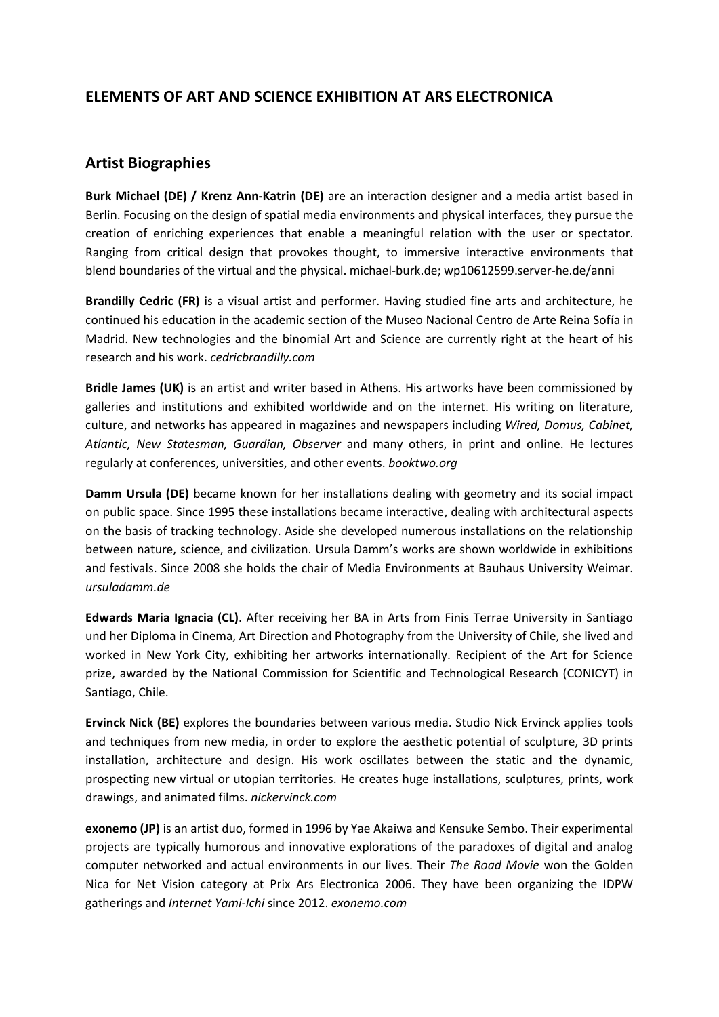## **ELEMENTS OF ART AND SCIENCE EXHIBITION AT ARS ELECTRONICA**

## **Artist Biographies**

**Burk Michael (DE) / Krenz Ann-Katrin (DE)** are an interaction designer and a media artist based in Berlin. Focusing on the design of spatial media environments and physical interfaces, they pursue the creation of enriching experiences that enable a meaningful relation with the user or spectator. Ranging from critical design that provokes thought, to immersive interactive environments that blend boundaries of the virtual and the physical. michael-burk.de; wp10612599.server-he.de/anni

**Brandilly Cedric (FR)** is a visual artist and performer. Having studied fine arts and architecture, he continued his education in the academic section of the Museo Nacional Centro de Arte Reina Sofía in Madrid. New technologies and the binomial Art and Science are currently right at the heart of his research and his work. *cedricbrandilly.com*

**Bridle James (UK)** is an artist and writer based in Athens. His artworks have been commissioned by galleries and institutions and exhibited worldwide and on the internet. His writing on literature, culture, and networks has appeared in magazines and newspapers including *Wired, Domus, Cabinet, Atlantic, New Statesman, Guardian, Observer* and many others, in print and online. He lectures regularly at conferences, universities, and other events. *booktwo.org*

**Damm Ursula (DE)** became known for her installations dealing with geometry and its social impact on public space. Since 1995 these installations became interactive, dealing with architectural aspects on the basis of tracking technology. Aside she developed numerous installations on the relationship between nature, science, and civilization. Ursula Damm's works are shown worldwide in exhibitions and festivals. Since 2008 she holds the chair of Media Environments at Bauhaus University Weimar. *ursuladamm.de*

**Edwards Maria Ignacia (CL)**. After receiving her BA in Arts from Finis Terrae University in Santiago und her Diploma in Cinema, Art Direction and Photography from the University of Chile, she lived and worked in New York City, exhibiting her artworks internationally. Recipient of the Art for Science prize, awarded by the National Commission for Scientific and Technological Research (CONICYT) in Santiago, Chile.

**Ervinck Nick (BE)** explores the boundaries between various media. Studio Nick Ervinck applies tools and techniques from new media, in order to explore the aesthetic potential of sculpture, 3D prints installation, architecture and design. His work oscillates between the static and the dynamic, prospecting new virtual or utopian territories. He creates huge installations, sculptures, prints, work drawings, and animated films. *nickervinck.com*

**exonemo (JP)** is an artist duo, formed in 1996 by Yae Akaiwa and Kensuke Sembo. Their experimental projects are typically humorous and innovative explorations of the paradoxes of digital and analog computer networked and actual environments in our lives. Their *The Road Movie* won the Golden Nica for Net Vision category at Prix Ars Electronica 2006. They have been organizing the IDPW gatherings and *Internet Yami-Ichi* since 2012. *exonemo.com*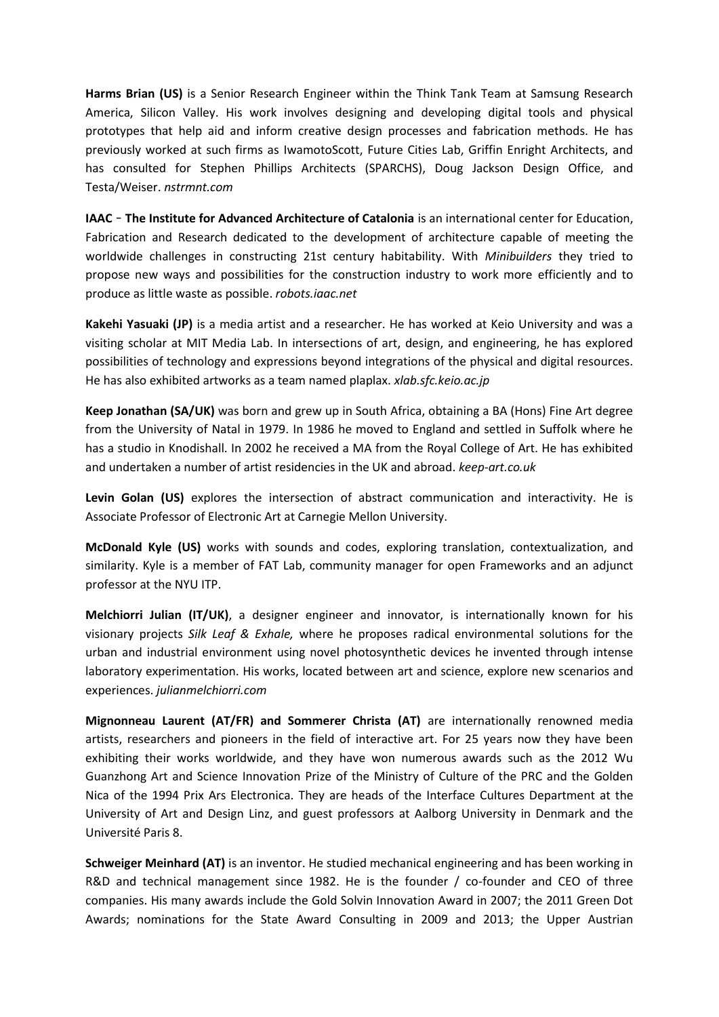**Harms Brian (US)** is a Senior Research Engineer within the Think Tank Team at Samsung Research America, Silicon Valley. His work involves designing and developing digital tools and physical prototypes that help aid and inform creative design processes and fabrication methods. He has previously worked at such firms as IwamotoScott, Future Cities Lab, Griffin Enright Architects, and has consulted for Stephen Phillips Architects (SPARCHS), Doug Jackson Design Office, and Testa/Weiser. *nstrmnt.com*

**IAAC** – **The Institute for Advanced Architecture of Catalonia** is an international center for Education, Fabrication and Research dedicated to the development of architecture capable of meeting the worldwide challenges in constructing 21st century habitability. With *Minibuilders* they tried to propose new ways and possibilities for the construction industry to work more efficiently and to produce as little waste as possible. *robots.iaac.net*

**Kakehi Yasuaki (JP)** is a media artist and a researcher. He has worked at Keio University and was a visiting scholar at MIT Media Lab. In intersections of art, design, and engineering, he has explored possibilities of technology and expressions beyond integrations of the physical and digital resources. He has also exhibited artworks as a team named plaplax. *xlab.sfc.keio.ac.jp*

**Keep Jonathan (SA/UK)** was born and grew up in South Africa, obtaining a BA (Hons) Fine Art degree from the University of Natal in 1979. In 1986 he moved to England and settled in Suffolk where he has a studio in Knodishall. In 2002 he received a MA from the Royal College of Art. He has exhibited and undertaken a number of artist residencies in the UK and abroad. *keep-art.co.uk*

**Levin Golan (US)** explores the intersection of abstract communication and interactivity. He is Associate Professor of Electronic Art at Carnegie Mellon University.

**McDonald Kyle (US)** works with sounds and codes, exploring translation, contextualization, and similarity. Kyle is a member of FAT Lab, community manager for open Frameworks and an adjunct professor at the NYU ITP.

**Melchiorri Julian (IT/UK)**, a designer engineer and innovator, is internationally known for his visionary projects *Silk Leaf & Exhale,* where he proposes radical environmental solutions for the urban and industrial environment using novel photosynthetic devices he invented through intense laboratory experimentation. His works, located between art and science, explore new scenarios and experiences. *julianmelchiorri.com*

**Mignonneau Laurent (AT/FR) and Sommerer Christa (AT)** are internationally renowned media artists, researchers and pioneers in the field of interactive art. For 25 years now they have been exhibiting their works worldwide, and they have won numerous awards such as the 2012 Wu Guanzhong Art and Science Innovation Prize of the Ministry of Culture of the PRC and the Golden Nica of the 1994 Prix Ars Electronica. They are heads of the Interface Cultures Department at the University of Art and Design Linz, and guest professors at Aalborg University in Denmark and the Université Paris 8.

**Schweiger Meinhard (AT)** is an inventor. He studied mechanical engineering and has been working in R&D and technical management since 1982. He is the founder / co-founder and CEO of three companies. His many awards include the Gold Solvin Innovation Award in 2007; the 2011 Green Dot Awards; nominations for the State Award Consulting in 2009 and 2013; the Upper Austrian